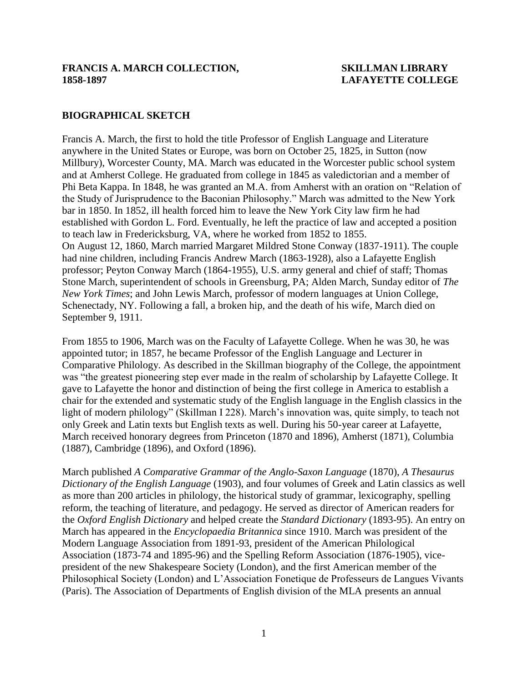#### **FRANCIS A. MARCH COLLECTION, SKILLMAN LIBRARY 1858-1897 LAFAYETTE COLLEGE**

### **BIOGRAPHICAL SKETCH**

Francis A. March, the first to hold the title Professor of English Language and Literature anywhere in the United States or Europe, was born on October 25, 1825, in Sutton (now Millbury), Worcester County, MA. March was educated in the Worcester public school system and at Amherst College. He graduated from college in 1845 as valedictorian and a member of Phi Beta Kappa. In 1848, he was granted an M.A. from Amherst with an oration on "Relation of the Study of Jurisprudence to the Baconian Philosophy." March was admitted to the New York bar in 1850. In 1852, ill health forced him to leave the New York City law firm he had established with Gordon L. Ford. Eventually, he left the practice of law and accepted a position to teach law in Fredericksburg, VA, where he worked from 1852 to 1855. On August 12, 1860, March married Margaret Mildred Stone Conway (1837-1911). The couple had nine children, including Francis Andrew March (1863-1928), also a Lafayette English professor; Peyton Conway March (1864-1955), U.S. army general and chief of staff; Thomas Stone March, superintendent of schools in Greensburg, PA; Alden March, Sunday editor of *The New York Times*; and John Lewis March, professor of modern languages at Union College, Schenectady, NY. Following a fall, a broken hip, and the death of his wife, March died on September 9, 1911.

From 1855 to 1906, March was on the Faculty of Lafayette College. When he was 30, he was appointed tutor; in 1857, he became Professor of the English Language and Lecturer in Comparative Philology. As described in the Skillman biography of the College, the appointment was "the greatest pioneering step ever made in the realm of scholarship by Lafayette College. It gave to Lafayette the honor and distinction of being the first college in America to establish a chair for the extended and systematic study of the English language in the English classics in the light of modern philology" (Skillman I 228). March's innovation was, quite simply, to teach not only Greek and Latin texts but English texts as well. During his 50-year career at Lafayette, March received honorary degrees from Princeton (1870 and 1896), Amherst (1871), Columbia (1887), Cambridge (1896), and Oxford (1896).

March published *A Comparative Grammar of the Anglo-Saxon Language* (1870), *A Thesaurus Dictionary of the English Language* (1903), and four volumes of Greek and Latin classics as well as more than 200 articles in philology, the historical study of grammar, lexicography, spelling reform, the teaching of literature, and pedagogy. He served as director of American readers for the *Oxford English Dictionary* and helped create the *Standard Dictionary* (1893-95). An entry on March has appeared in the *Encyclopaedia Britannica* since 1910. March was president of the Modern Language Association from 1891-93, president of the American Philological Association (1873-74 and 1895-96) and the Spelling Reform Association (1876-1905), vicepresident of the new Shakespeare Society (London), and the first American member of the Philosophical Society (London) and L'Association Fonetique de Professeurs de Langues Vivants (Paris). The Association of Departments of English division of the MLA presents an annual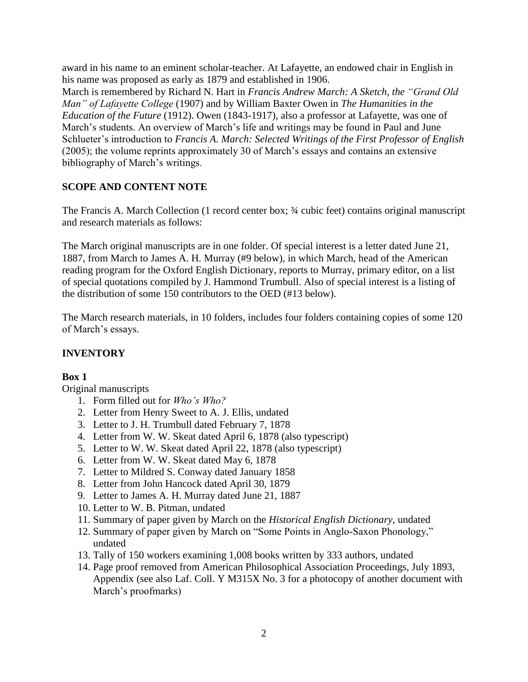award in his name to an eminent scholar-teacher. At Lafayette, an endowed chair in English in his name was proposed as early as 1879 and established in 1906.

March is remembered by Richard N. Hart in *Francis Andrew March: A Sketch, the "Grand Old Man" of Lafayette College* (1907) and by William Baxter Owen in *The Humanities in the Education of the Future* (1912). Owen (1843-1917), also a professor at Lafayette, was one of March's students. An overview of March's life and writings may be found in Paul and June Schlueter's introduction to *Francis A. March: Selected Writings of the First Professor of English* (2005); the volume reprints approximately 30 of March's essays and contains an extensive bibliography of March's writings.

# **SCOPE AND CONTENT NOTE**

The Francis A. March Collection (1 record center box; ¾ cubic feet) contains original manuscript and research materials as follows:

The March original manuscripts are in one folder. Of special interest is a letter dated June 21, 1887, from March to James A. H. Murray (#9 below), in which March, head of the American reading program for the Oxford English Dictionary, reports to Murray, primary editor, on a list of special quotations compiled by J. Hammond Trumbull. Also of special interest is a listing of the distribution of some 150 contributors to the OED (#13 below).

The March research materials, in 10 folders, includes four folders containing copies of some 120 of March's essays.

# **INVENTORY**

## **Box 1**

Original manuscripts

- 1. Form filled out for *Who's Who?*
- 2. Letter from Henry Sweet to A. J. Ellis, undated
- 3. Letter to J. H. Trumbull dated February 7, 1878
- 4. Letter from W. W. Skeat dated April 6, 1878 (also typescript)
- 5. Letter to W. W. Skeat dated April 22, 1878 (also typescript)
- 6. Letter from W. W. Skeat dated May 6, 1878
- 7. Letter to Mildred S. Conway dated January 1858
- 8. Letter from John Hancock dated April 30, 1879
- 9. Letter to James A. H. Murray dated June 21, 1887
- 10. Letter to W. B. Pitman, undated
- 11. Summary of paper given by March on the *Historical English Dictionary*, undated
- 12. Summary of paper given by March on "Some Points in Anglo-Saxon Phonology," undated
- 13. Tally of 150 workers examining 1,008 books written by 333 authors, undated
- 14. Page proof removed from American Philosophical Association Proceedings, July 1893, Appendix (see also Laf. Coll. Y M315X No. 3 for a photocopy of another document with March's proofmarks)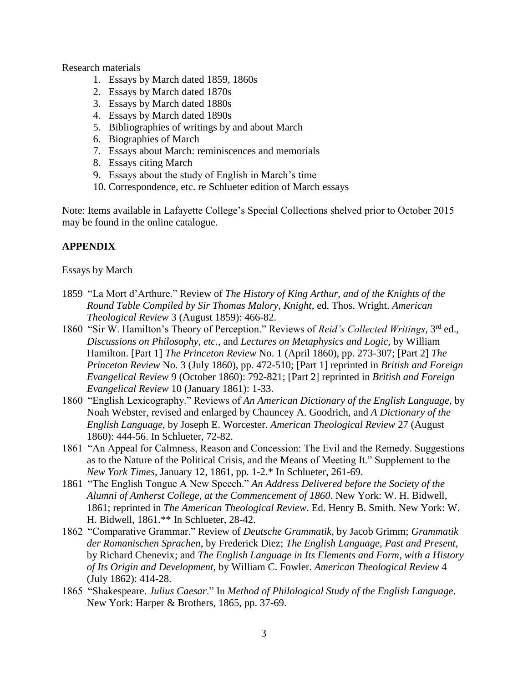Research materials

- 1. Essays by March dated 1859, 1860s
- 2. Essays by March dated 1870s
- 3. Essays by March dated 1880s
- 4. Essays by March dated 1890s
- 5. Bibliographies of writings by and about March
- 6. Biographies of March
- 7. Essays about March: reminiscences and memorials
- 8. Essays citing March
- 9. Essays about the study of English in March's time
- 10. Correspondence, etc. re Schlueter edition of March essays

Note: Items available in Lafayette College's Special Collections shelved prior to October 2015 may be found in the online catalogue.

## **APPENDIX**

## Essays by March

- 1859 "La Mort d'Arthure." Review of *The History of King Arthur, and of the Knights of the Round Table Compiled by Sir Thomas Malory, Knight*, ed. Thos. Wright. *American Theological Review* 3 (August 1859): 466-82.
- 1860 "Sir W. Hamilton's Theory of Perception." Reviews of *Reid's Collected Writings*, 3rd ed., *Discussions on Philosophy*, *etc.*, and *Lectures on Metaphysics and Logic*, by William Hamilton. [Part 1] *The Princeton Review* No. 1 (April 1860), pp. 273-307; [Part 2] *The Princeton Review* No. 3 (July 1860), pp. 472-510; [Part 1] reprinted in *British and Foreign Evangelical Review* 9 (October 1860): 792-821; [Part 2] reprinted in *British and Foreign Evangelical Review* 10 (January 1861): 1-33.
- 1860 "English Lexicography." Reviews of *An American Dictionary of the English Language*, by Noah Webster, revised and enlarged by Chauncey A. Goodrich, and *A Dictionary of the English Language*, by Joseph E. Worcester. *American Theological Review* 27 (August 1860): 444-56. In Schlueter, 72-82.
- 1861 "An Appeal for Calmness, Reason and Concession: The Evil and the Remedy. Suggestions as to the Nature of the Political Crisis, and the Means of Meeting It." Supplement to the *New York Times*, January 12, 1861, pp. 1-2.\* In Schlueter, 261-69.
- 1861 "The English Tongue A New Speech." *An Address Delivered before the Society of the Alumni of Amherst College, at the Commencement of 1860*. New York: W. H. Bidwell, 1861; reprinted in *The American Theological Review*. Ed. Henry B. Smith. New York: W. H. Bidwell, 1861.\*\* In Schlueter, 28-42.
- 1862 "Comparative Grammar." Review of *Deutsche Grammatik*, by Jacob Grimm; *Grammatik der Romanischen Sprachen*, by Frederick Diez; *The English Language, Past and Present*, by Richard Chenevix; and *The English Language in Its Elements and Form, with a History of Its Origin and Development*, by William C. Fowler. *American Theological Review* 4 (July 1862): 414-28.
- 1865 "Shakespeare. *Julius Caesar*." In *Method of Philological Study of the English Language*. New York: Harper & Brothers, 1865, pp. 37-69.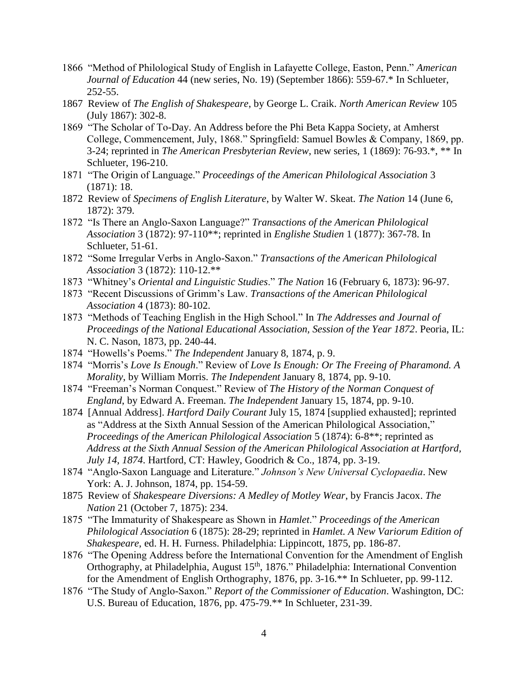- 1866 "Method of Philological Study of English in Lafayette College, Easton, Penn." *American Journal of Education* 44 (new series, No. 19) (September 1866): 559-67.\* In Schlueter, 252-55.
- 1867 Review of *The English of Shakespeare*, by George L. Craik. *North American Review* 105 (July 1867): 302-8.
- 1869 "The Scholar of To-Day. An Address before the Phi Beta Kappa Society, at Amherst College, Commencement, July, 1868." Springfield: Samuel Bowles & Company, 1869, pp. 3-24; reprinted in *The American Presbyterian Review*, new series, 1 (1869): 76-93.\*, \*\* In Schlueter, 196-210.
- 1871 "The Origin of Language." *Proceedings of the American Philological Association* 3 (1871): 18.
- 1872 Review of *Specimens of English Literature*, by Walter W. Skeat. *The Nation* 14 (June 6, 1872): 379.
- 1872 "Is There an Anglo-Saxon Language?" *Transactions of the American Philological Association* 3 (1872): 97-110\*\*; reprinted in *Englishe Studien* 1 (1877): 367-78. In Schlueter, 51-61.
- 1872 "Some Irregular Verbs in Anglo-Saxon." *Transactions of the American Philological Association* 3 (1872): 110-12.\*\*
- 1873 "Whitney's *Oriental and Linguistic Studies*." *The Nation* 16 (February 6, 1873): 96-97.
- 1873 "Recent Discussions of Grimm's Law. *Transactions of the American Philological Association* 4 (1873): 80-102.
- 1873 "Methods of Teaching English in the High School." In *The Addresses and Journal of Proceedings of the National Educational Association, Session of the Year 1872*. Peoria, IL: N. C. Nason, 1873, pp. 240-44.
- 1874 "Howells's Poems." *The Independent* January 8, 1874, p. 9.
- 1874 "Morris's *Love Is Enough*." Review of *Love Is Enough: Or The Freeing of Pharamond. A Morality*, by William Morris. *The Independent* January 8, 1874, pp. 9-10.
- 1874 "Freeman's Norman Conquest." Review of *The History of the Norman Conquest of England*, by Edward A. Freeman. *The Independent* January 15, 1874, pp. 9-10.
- 1874 [Annual Address]. *Hartford Daily Courant* July 15, 1874 [supplied exhausted]; reprinted as "Address at the Sixth Annual Session of the American Philological Association," *Proceedings of the American Philological Association* 5 (1874): 6-8\*\*; reprinted as *Address at the Sixth Annual Session of the American Philological Association at Hartford, July 14, 1874*. Hartford, CT: Hawley, Goodrich & Co., 1874, pp. 3-19.
- 1874 "Anglo-Saxon Language and Literature." *Johnson's New Universal Cyclopaedia*. New York: A. J. Johnson, 1874, pp. 154-59.
- 1875 Review of *Shakespeare Diversions: A Medley of Motley Wear*, by Francis Jacox. *The Nation* 21 (October 7, 1875): 234.
- 1875 "The Immaturity of Shakespeare as Shown in *Hamlet*." *Proceedings of the American Philological Association* 6 (1875): 28-29; reprinted in *Hamlet. A New Variorum Edition of Shakespeare*, ed. H. H. Furness. Philadelphia: Lippincott, 1875, pp. 186-87.
- 1876 "The Opening Address before the International Convention for the Amendment of English Orthography, at Philadelphia, August 15<sup>th</sup>, 1876." Philadelphia: International Convention for the Amendment of English Orthography, 1876, pp. 3-16.\*\* In Schlueter, pp. 99-112.
- 1876 "The Study of Anglo-Saxon." *Report of the Commissioner of Education*. Washington, DC: U.S. Bureau of Education, 1876, pp. 475-79.\*\* In Schlueter, 231-39.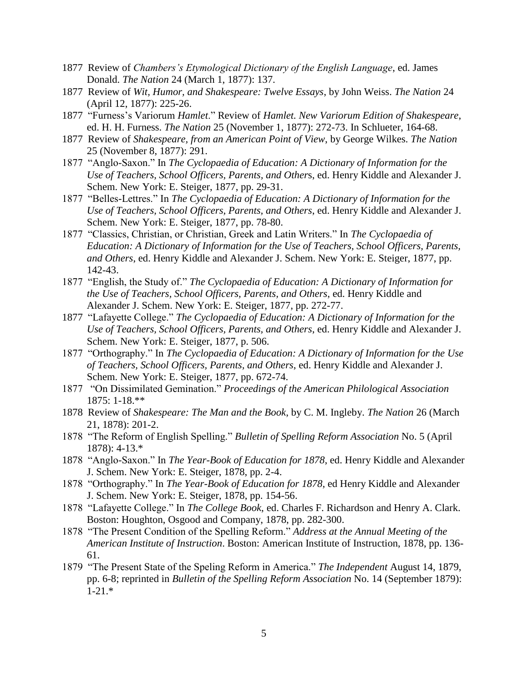- 1877 Review of *Chambers's Etymological Dictionary of the English Language*, ed. James Donald. *The Nation* 24 (March 1, 1877): 137.
- 1877 Review of *Wit, Humor, and Shakespeare: Twelve Essays*, by John Weiss. *The Nation* 24 (April 12, 1877): 225-26.
- 1877 "Furness's Variorum *Hamlet*." Review of *Hamlet. New Variorum Edition of Shakespeare*, ed. H. H. Furness. *The Nation* 25 (November 1, 1877): 272-73. In Schlueter, 164-68.
- 1877 Review of *Shakespeare, from an American Point of View*, by George Wilkes. *The Nation* 25 (November 8, 1877): 291.
- 1877 "Anglo-Saxon." In *The Cyclopaedia of Education: A Dictionary of Information for the Use of Teachers, School Officers, Parents, and Other*s, ed. Henry Kiddle and Alexander J. Schem. New York: E. Steiger, 1877, pp. 29-31.
- 1877 "Belles-Lettres." In *The Cyclopaedia of Education: A Dictionary of Information for the Use of Teachers, School Officers, Parents, and Others*, ed. Henry Kiddle and Alexander J. Schem. New York: E. Steiger, 1877, pp. 78-80.
- 1877 "Classics, Christian, or Christian, Greek and Latin Writers." In *The Cyclopaedia of Education: A Dictionary of Information for the Use of Teachers, School Officers, Parents, and Others*, ed. Henry Kiddle and Alexander J. Schem. New York: E. Steiger, 1877, pp. 142-43.
- 1877 "English, the Study of." *The Cyclopaedia of Education: A Dictionary of Information for the Use of Teachers, School Officers, Parents, and Others*, ed. Henry Kiddle and Alexander J. Schem. New York: E. Steiger, 1877, pp. 272-77.
- 1877 "Lafayette College." *The Cyclopaedia of Education: A Dictionary of Information for the Use of Teachers, School Officers, Parents, and Others*, ed. Henry Kiddle and Alexander J. Schem. New York: E. Steiger, 1877, p. 506.
- 1877 "Orthography." In *The Cyclopaedia of Education: A Dictionary of Information for the Use of Teachers, School Officers, Parents, and Others*, ed. Henry Kiddle and Alexander J. Schem. New York: E. Steiger, 1877, pp. 672-74.
- 1877 "On Dissimilated Gemination." *Proceedings of the American Philological Association* 1875: 1-18.\*\*
- 1878 Review of *Shakespeare: The Man and the Book*, by C. M. Ingleby. *The Nation* 26 (March 21, 1878): 201-2.
- 1878 "The Reform of English Spelling." *Bulletin of Spelling Reform Association* No. 5 (April 1878): 4-13.\*
- 1878 "Anglo-Saxon." In *The Year-Book of Education for 1878*, ed. Henry Kiddle and Alexander J. Schem. New York: E. Steiger, 1878, pp. 2-4.
- 1878 "Orthography." In *The Year-Book of Education for 1878*, ed Henry Kiddle and Alexander J. Schem. New York: E. Steiger, 1878, pp. 154-56.
- 1878 "Lafayette College." In *The College Book*, ed. Charles F. Richardson and Henry A. Clark. Boston: Houghton, Osgood and Company, 1878, pp. 282-300.
- 1878 "The Present Condition of the Spelling Reform." *Address at the Annual Meeting of the American Institute of Instruction*. Boston: American Institute of Instruction, 1878, pp. 136- 61.
- 1879 "The Present State of the Speling Reform in America." *The Independent* August 14, 1879, pp. 6-8; reprinted in *Bulletin of the Spelling Reform Association* No. 14 (September 1879): 1-21.\*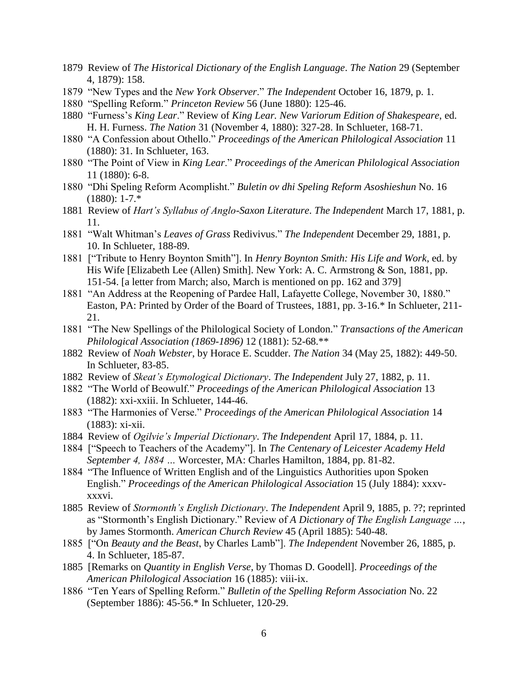- 1879 Review of *The Historical Dictionary of the English Language*. *The Nation* 29 (September 4, 1879): 158.
- 1879 "New Types and the *New York Observer*." *The Independent* October 16, 1879, p. 1.
- 1880 "Spelling Reform." *Princeton Review* 56 (June 1880): 125-46.
- 1880 "Furness's *King Lear*." Review of *King Lear. New Variorum Edition of Shakespeare*, ed. H. H. Furness. *The Nation* 31 (November 4, 1880): 327-28. In Schlueter, 168-71.
- 1880 "A Confession about Othello." *Proceedings of the American Philological Association* 11 (1880): 31. In Schlueter, 163.
- 1880 "The Point of View in *King Lear*." *Proceedings of the American Philological Association* 11 (1880): 6-8.
- 1880 "Dhi Speling Reform Acomplisht." *Buletin ov dhi Speling Reform Asoshieshun* No. 16 (1880): 1-7.\*
- 1881 Review of *Hart's Syllabus of Anglo-Saxon Literature*. *The Independent* March 17, 1881, p. 11.
- 1881 "Walt Whitman's *Leaves of Grass* Redivivus." *The Independent* December 29, 1881, p. 10. In Schlueter, 188-89.
- 1881 ["Tribute to Henry Boynton Smith"]. In *Henry Boynton Smith: His Life and Work*, ed. by His Wife [Elizabeth Lee (Allen) Smith]. New York: A. C. Armstrong & Son, 1881, pp. 151-54. [a letter from March; also, March is mentioned on pp. 162 and 379]
- 1881 "An Address at the Reopening of Pardee Hall, Lafayette College, November 30, 1880." Easton, PA: Printed by Order of the Board of Trustees, 1881, pp. 3-16.\* In Schlueter, 211- 21.
- 1881 "The New Spellings of the Philological Society of London." *Transactions of the American Philological Association (1869-1896)* 12 (1881): 52-68.\*\*
- 1882 Review of *Noah Webster*, by Horace E. Scudder. *The Nation* 34 (May 25, 1882): 449-50. In Schlueter, 83-85.
- 1882 Review of *Skeat's Etymological Dictionary*. *The Independent* July 27, 1882, p. 11.
- 1882 "The World of Beowulf." *Proceedings of the American Philological Association* 13 (1882): xxi-xxiii. In Schlueter, 144-46.
- 1883 "The Harmonies of Verse." *Proceedings of the American Philological Association* 14 (1883): xi-xii.
- 1884 Review of *Ogilvie's Imperial Dictionary*. *The Independent* April 17, 1884, p. 11.
- 1884 ["Speech to Teachers of the Academy"]. In *The Centenary of Leicester Academy Held September 4, 1884 …* Worcester, MA: Charles Hamilton, 1884, pp. 81-82.
- 1884 "The Influence of Written English and of the Linguistics Authorities upon Spoken English." *Proceedings of the American Philological Association* 15 (July 1884): xxxvxxxvi.
- 1885 Review of *Stormonth's English Dictionary*. *The Independent* April 9, 1885, p. ??; reprinted as "Stormonth's English Dictionary." Review of *A Dictionary of The English Language …*, by James Stormonth. *American Church Review* 45 (April 1885): 540-48.
- 1885 ["On *Beauty and the Beast*, by Charles Lamb"]. *The Independent* November 26, 1885, p. 4. In Schlueter, 185-87.
- 1885 [Remarks on *Quantity in English Verse*, by Thomas D. Goodell]. *Proceedings of the American Philological Association* 16 (1885): viii-ix.
- 1886 "Ten Years of Spelling Reform." *Bulletin of the Spelling Reform Association* No. 22 (September 1886): 45-56.\* In Schlueter, 120-29.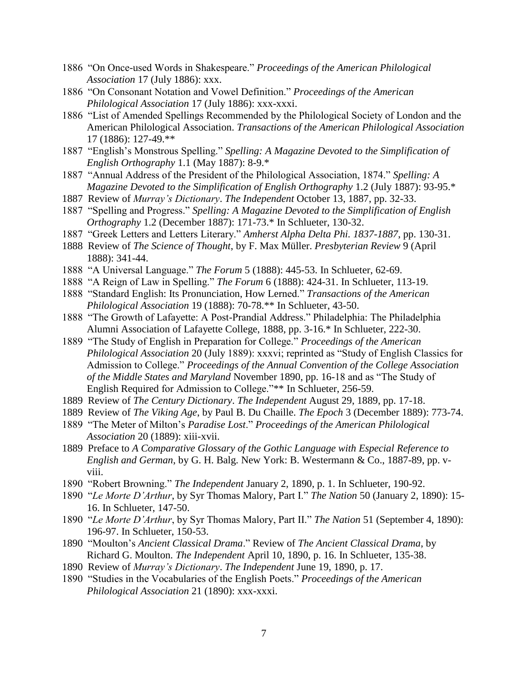- 1886 "On Once-used Words in Shakespeare." *Proceedings of the American Philological Association* 17 (July 1886): xxx.
- 1886 "On Consonant Notation and Vowel Definition." *Proceedings of the American Philological Association* 17 (July 1886): xxx-xxxi.
- 1886 "List of Amended Spellings Recommended by the Philological Society of London and the American Philological Association. *Transactions of the American Philological Association* 17 (1886): 127-49.\*\*
- 1887 "English's Monstrous Spelling." *Spelling: A Magazine Devoted to the Simplification of English Orthography* 1.1 (May 1887): 8-9.\*
- 1887 "Annual Address of the President of the Philological Association, 1874." *Spelling: A Magazine Devoted to the Simplification of English Orthography* 1.2 (July 1887): 93-95.\*
- 1887 Review of *Murray's Dictionary*. *The Independent* October 13, 1887, pp. 32-33.
- 1887 "Spelling and Progress." *Spelling: A Magazine Devoted to the Simplification of English Orthography* 1.2 (December 1887): 171-73.\* In Schlueter, 130-32.
- 1887 "Greek Letters and Letters Literary." *Amherst Alpha Delta Phi. 1837-1887*, pp. 130-31.
- 1888 Review of *The Science of Thought*, by F. Max Müller. *Presbyterian Review* 9 (April 1888): 341-44.
- 1888 "A Universal Language." *The Forum* 5 (1888): 445-53. In Schlueter, 62-69.
- 1888 "A Reign of Law in Spelling." *The Forum* 6 (1888): 424-31. In Schlueter, 113-19.
- 1888 "Standard English: Its Pronunciation, How Lerned." *Transactions of the American Philological Association* 19 (1888): 70-78.\*\* In Schlueter, 43-50.
- 1888 "The Growth of Lafayette: A Post-Prandial Address." Philadelphia: The Philadelphia Alumni Association of Lafayette College, 1888, pp. 3-16.\* In Schlueter, 222-30.
- 1889 "The Study of English in Preparation for College." *Proceedings of the American Philological Association* 20 (July 1889): xxxvi; reprinted as "Study of English Classics for Admission to College." *Proceedings of the Annual Convention of the College Association of the Middle States and Maryland* November 1890, pp. 16-18 and as "The Study of English Required for Admission to College."\*\* In Schlueter, 256-59.
- 1889 Review of *The Century Dictionary*. *The Independent* August 29, 1889, pp. 17-18.
- 1889 Review of *The Viking Age*, by Paul B. Du Chaille. *The Epoch* 3 (December 1889): 773-74.
- 1889 "The Meter of Milton's *Paradise Lost*." *Proceedings of the American Philological Association* 20 (1889): xiii-xvii.
- 1889 Preface to *A Comparative Glossary of the Gothic Language with Especial Reference to English and German*, by G. H. Balg. New York: B. Westermann & Co., 1887-89, pp. vviii.
- 1890 "Robert Browning." *The Independent* January 2, 1890, p. 1. In Schlueter, 190-92.
- 1890 "*Le Morte D'Arthur*, by Syr Thomas Malory, Part I." *The Nation* 50 (January 2, 1890): 15- 16. In Schlueter, 147-50.
- 1890 "*Le Morte D'Arthur*, by Syr Thomas Malory, Part II." *The Nation* 51 (September 4, 1890): 196-97. In Schlueter, 150-53.
- 1890 "Moulton's *Ancient Classical Drama*." Review of *The Ancient Classical Drama*, by Richard G. Moulton. *The Independent* April 10, 1890, p. 16. In Schlueter, 135-38.
- 1890 Review of *Murray's Dictionary*. *The Independent* June 19, 1890, p. 17.
- 1890 "Studies in the Vocabularies of the English Poets." *Proceedings of the American Philological Association* 21 (1890): xxx-xxxi.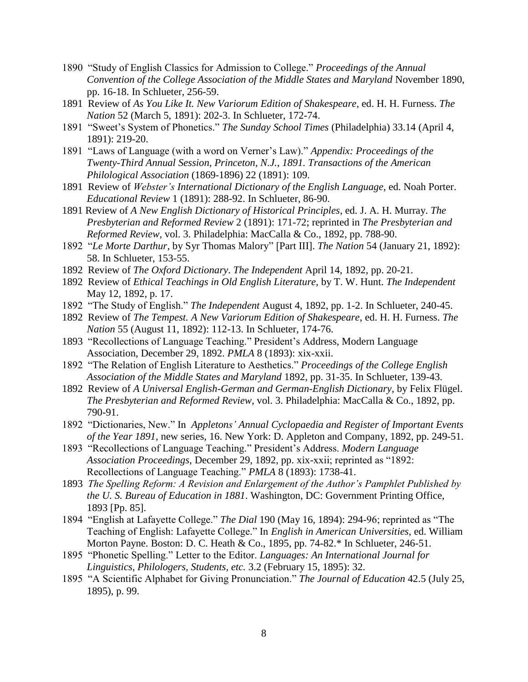- 1890 "Study of English Classics for Admission to College." *Proceedings of the Annual Convention of the College Association of the Middle States and Maryland* November 1890, pp. 16-18. In Schlueter, 256-59.
- 1891 Review of *As You Like It. New Variorum Edition of Shakespeare*, ed. H. H. Furness. *The Nation* 52 (March 5, 1891): 202-3. In Schlueter, 172-74.
- 1891 "Sweet's System of Phonetics." *The Sunday School Times* (Philadelphia) 33.14 (April 4, 1891): 219-20.
- 1891 "Laws of Language (with a word on Verner's Law)." *Appendix: Proceedings of the Twenty-Third Annual Session, Princeton, N.J., 1891. Transactions of the American Philological Association* (1869-1896) 22 (1891): 109.
- 1891 Review of *Webster's International Dictionary of the English Language*, ed. Noah Porter. *Educational Review* 1 (1891): 288-92. In Schlueter, 86-90.
- 1891 Review of *A New English Dictionary of Historical Principles*, ed. J. A. H. Murray. *The Presbyterian and Reformed Review* 2 (1891): 171-72; reprinted in *The Presbyterian and Reformed Review*, vol. 3. Philadelphia: MacCalla & Co., 1892, pp. 788-90.
- 1892 "*Le Morte Darthur*, by Syr Thomas Malory" [Part III]. *The Nation* 54 (January 21, 1892): 58. In Schlueter, 153-55.
- 1892 Review of *The Oxford Dictionary*. *The Independent* April 14, 1892, pp. 20-21.
- 1892 Review of *Ethical Teachings in Old English Literature*, by T. W. Hunt. *The Independent*  May 12, 1892, p. 17.
- 1892 "The Study of English." *The Independent* August 4, 1892, pp. 1-2. In Schlueter, 240-45.
- 1892 Review of *The Tempest. A New Variorum Edition of Shakespeare*, ed. H. H. Furness. *The Nation* 55 (August 11, 1892): 112-13. In Schlueter, 174-76.
- 1893 "Recollections of Language Teaching." President's Address, Modern Language Association, December 29, 1892. *PMLA* 8 (1893): xix-xxii.
- 1892 "The Relation of English Literature to Aesthetics." *Proceedings of the College English Association of the Middle States and Maryland* 1892, pp. 31-35. In Schlueter, 139-43.
- 1892 Review of *A Universal English-German and German-English Dictionary*, by Felix Flügel. *The Presbyterian and Reformed Review*, vol. 3. Philadelphia: MacCalla & Co., 1892, pp. 790-91.
- 1892 "Dictionaries, New." In *Appletons' Annual Cyclopaedia and Register of Important Events of the Year 1891*, new series, 16. New York: D. Appleton and Company, 1892, pp. 249-51.
- 1893 "Recollections of Language Teaching." President's Address. *Modern Language Association Proceedings*, December 29, 1892, pp. xix-xxii; reprinted as "1892: Recollections of Language Teaching." *PMLA* 8 (1893): 1738-41.
- 1893 *The Spelling Reform: A Revision and Enlargement of the Author's Pamphlet Published by the U. S. Bureau of Education in 1881*. Washington, DC: Government Printing Office, 1893 [Pp. 85].
- 1894 "English at Lafayette College." *The Dial* 190 (May 16, 1894): 294-96; reprinted as "The Teaching of English: Lafayette College." In *English in American Universities*, ed. William Morton Payne. Boston: D. C. Heath & Co., 1895, pp. 74-82.\* In Schlueter, 246-51.
- 1895 "Phonetic Spelling." Letter to the Editor. *Languages: An International Journal for Linguistics, Philologers, Students, etc.* 3.2 (February 15, 1895): 32.
- 1895 "A Scientific Alphabet for Giving Pronunciation." *The Journal of Education* 42.5 (July 25, 1895), p. 99.